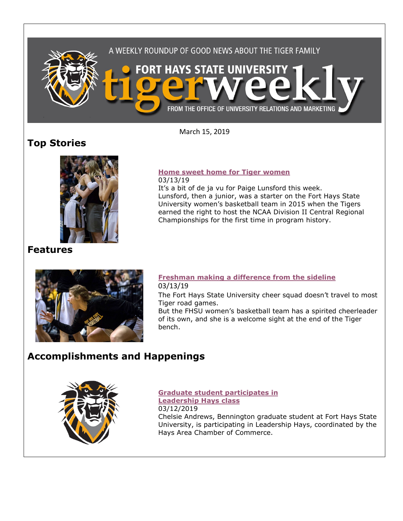

March 15, 2019

# **Top Stories**



It's a bit of de ja vu for Paige Lunsford this week. Lunsford, then a junior, was a starter on the Fort Hays State University women's basketball team in 2015 when the Tigers earned the right to host the NCAA Division II Central Regional Championships for the first time in program history.

### **Features**



#### **[Freshman making a difference from the sideline](https://www.fhsu.edu/news/2019/03/freshman-making-a-difference-from-the-sideline)** 03/13/19

The Fort Hays State University cheer squad doesn't travel to most Tiger road games.

But the FHSU women's basketball team has a spirited cheerleader of its own, and she is a welcome sight at the end of the Tiger bench.

# **Accomplishments and Happenings**



**[Graduate student participates in](https://www.fhsu.edu/news/2019/03/graduate-student-participates-in-leadership-hays-class)  [Leadership Hays class](https://www.fhsu.edu/news/2019/03/graduate-student-participates-in-leadership-hays-class)** 03/12/2019 Chelsie Andrews, Bennington graduate student at Fort Hays State University, is participating in Leadership Hays, coordinated by the Hays Area Chamber of Commerce.